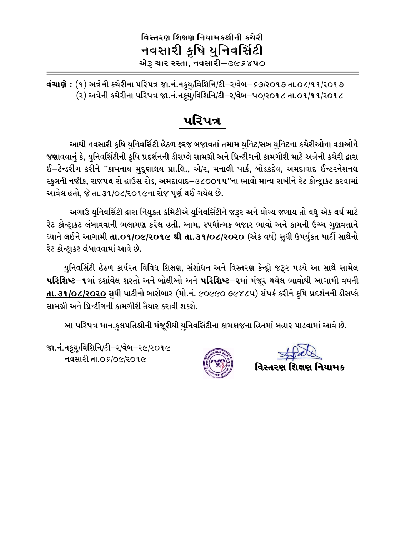## વિસ્તરણ શિક્ષણ નિયામકશ્રીની કચેરી નવસારી ક્રષિ યુનિવર્સિટી એરૂ ચાર રસ્તા, નવસારી–૩૯૬૪૫૦

**વંચાણે :** (૧) અત્રેની કચેરીના પરિપત્ર જા.નં.નક્યુ/વિશિનિ/ટી–ર/વેબ–૬૭/૨૦૧૭ તા.૦૮/૧૧/૨૦૧૭ (૨) અત્રેની કચેરીના પરિપત્ર જા.નં.નક્ર્યુ/વિશિનિ/ટી–ર/વેબ–પ૦/ર૦૧૮ તા.૦૧/૧૧/ર૦૧૮

પરિપત્ર

આથી નવસારી કૃષિ યુનિવર્સિટી હેઠળ ફરજ બજાવતાં તમામ યુનિટ/સબ યુનિટના કચેરીઓના વડાઓને જણાવવાનું કે, યુનિવર્સિટીની કૃષિ પ્રદર્શનની ડીસપ્લે સામગ્રી અને પ્રિન્ટીંગની કામગીરી માટે અત્રેની કચેરી દ્વારા ઈ–ટેન્ડરીંગ કરીને ''કામનાથ મદૃણાલય પ્રા.લિ., એ/ર, મનાલી પાર્ક, બોડકદેવ, અમદાવાદ ઈન્ટરનેશનલ સ્કુલની નજીક, રાજપથ રો હાઉસ રોડ, અમદાવાદ−૩૮૦૦૧પ''ના ભાવો માન્ય રાખીને રેટ કોન્ટ્રાકટ કરવામાં આવેલ હતો, જે તા.૩૧/૦૮/૨૦૧૯ના રોજ પૂર્ણ થઈ ગયેલ છે.

અગાઉ યુનિવર્સિટી દ્વારા નિયુકત કમિટીએ યુનિવર્સિટીને જરૂર અને યોગ્ય જણાય તો વધુ એક વર્ષ માટે રેટ કોન્ટ્રાકટ લંબાવવાની ભલામણ કરેલ હતી. આમ, સ્પર્ધાત્મક બજાર ભાવો અને કામની ઉચ્ચ ગુણવત્તાને ધ્યાને લઈને આગામી **તા.૦૧/૦૯/૨૦૧૯ થી તા.૩૧/૦૮/૨૦૨૦** (એક વર્ષ) સધી ઉપર્યકત પાર્ટી સાથેનો રેટ કોન્ટાકટ લંબાવવામાં આવે છે.

યુનિવર્સિટી હેઠળ કાર્યરત વિવિધ શિક્ષણ, સંશોધન અને વિસ્તરણ કેન્દ્રો જરૂર પડયે આ સાથે સામેલ પરિશિષ્ટ–૧માં દર્શાવેલ શરતો અને બોલીઓ અને પરિશિષ્ટ–૨માં મંજૂર થયેલ ભાવોથી આગામી વર્ષની તા.૩૧/૦૮/૨૦૨૦ સધી પાર્ટીનો બારોબાર (મો.નં. ૯૦૯૯૦ ૭૯૪૮૫) સંપર્ક કરીને કૃષિ પ્રદર્શનની ડીસપ્લે સામગ્રી અને પ્રિન્ટીંગની કામગીરી તૈયાર કરાવી શકશે.

આ પરિપત્ર માન.કુલપતિશ્રીની મંજૂરીથી યુનિવર્સિટીના કામકાજના હિતમાં બહાર પાડવામાં આવે છે.

જા.નં.નકુય/વિશિનિ/ટી–ર/વેબ–ર૯/ર૦૧૯ નવસારી તા.os/o૯/૨૦૧૯



વિસ્તરણ શિક્ષણ નિયામક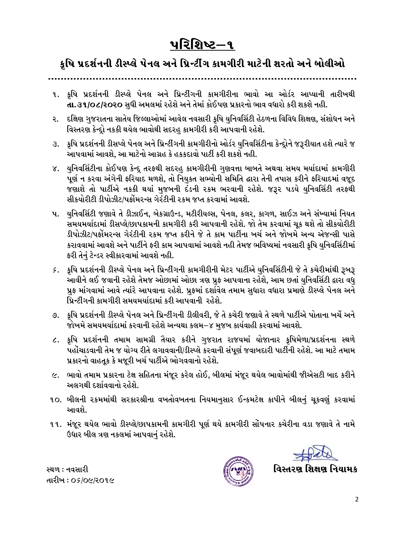# પરિશિષ્ટ–૧

# કૃષિ પ્રદર્શનની ડીસ્પ્લે પેનલ અને પ્રિન્ટીંગ કામગીરી માટેની શરતો અને બોલીઓ

- ૧. કૃષિ પ્રદર્શનની ડીસ્પ્લે પેનલ અને પ્રિન્ટીંગની કામગીરીના ભાવો આ ઓર્ડર આપ્યાની તારીખથી **તા.૩૧/૦૮/૨૦૨૦** સધી અમલમાં રહેશે અને તેમાં કોઈપણ પ્રકારનો ભાવ વધારો કરી શકશે નહી.
- ૨. દક્ષિણ ગુજરાતના સાતેય જિલ્લાઓમાં આવેલ નવસારી કૃષિ યુનિવર્સિટી હેઠળના વિવિધ શિક્ષણ, સંશોધન અને વિસ્તરણ કેન્દ્રો નકકી થયેલ ભાવોથી સદરહુ કામગીરી કરી આપવાની રહેશે.
- ૩. ફૂષિ પ્રદર્શનની ડીસપ્લે પેનલ અને પ્રિન્ટીંગની કામગીરીનો ઓર્ડર યુનિવર્સિટીના કેન્દ્રોને જરૂરીયાત હશે ત્યારે જ આપવામાં આવશે, આ માટેનો આગ્રહ કે હકકદાવો પાર્ટી કરી શકશે નહી.
- યુનિવર્સિટીના કોઈપણ કેન્દ્ર તરફથી સદરહુ કામગીરીની ગુણવત્તા બાબતે અથવા સમય મર્યાદામાં કામગીરી ४. પૂર્ણ ન કરવા અંગેની ફરિયાદ મળશે, તો નિયુકત સભ્યોની સમિતિ દ્વારા તેની તપાસ કરીને ફરિયાદમાં વજૂદ જણાશે તો પાર્ટીએ નકકી થયાં મુજબની દંડની રકમ ભરવાની રહેશે. જરૂર પડયે યુનિવર્સિટી તરફથી સીકયોરીટી ડીપોઝીટ/પર્કોમરન્સ ગેરંટીની રકમ જપ્ત કરવામાં આવશે.
- ૫. યુનિવર્સિટી જણાવે તે ડીઝાઈન, બેકગ્રાઉન્ડ, મટીરીયલ્સ, પેનલ, કલર, કાગળ, સાઈઝ અને સંખ્યામાં નિયત સમયમર્યાદામાં ડીસપ્લે/છાપકામની કામગીરી કરી આપવાની રહેશે. જો તેમ કરવામાં ચૂક થશે તો સીકયોરીટી ડીપોઝીટ/પર્ફોમરન્સ ગેરંટીની ૨કમ જપ્ત કરીને જે તે કામ પાર્ટીના ખર્ચ અને જોખમે અન્ય એજન્સી પાસે કરાવવામાં આવશે અને પાર્ટીને ફરી કામ આપવામાં આવશે નહી તેમજ ભવિષ્યમાં નવસારી કૃષિ યુનિવર્સિટીમાં ફરી તેનું ટેન્ડર સ્વીકારવામાં આવશે નહી.
- *૬*. કૃષિ પ્રદર્શનની ડીસ્પ્લે પેનલ અને પ્રિન્ટીંગની કામગીરીની મેટર પાર્ટીએ યુનિવર્સિટીની જે તે કચેરીમાંથી રૂબરૂ આવીને લઈ જવાની રહેશે તેમજ ઓછામાં ઓછા ત્રણ પ્રુફ આપવાના રહેશે, આમ છતાં યુનિવર્સિટી દ્વારા વધુ પ્રુફ માંગવામાં આવે ત્યાંરે આપવાના રહેશે. પ્રુફમાં દર્શાવેલ તમામ સુધારા વધારા પ્રમાણે ડીસ્પ્લે પેનલ અને પ્રિન્ટીંગની કામગીરી સમયમર્યાદામાં કરી આપવાની રહેશે.
- ૭. કૃષિ પ્રદર્શનની ડીસ્પ્લે પેનલ અને પ્રિન્ટીંગની ડીલીવરી, જે તે કચેરી જણાવે તે સ્થળે પાર્ટીએ પોતાના ખર્ચે અને જોખમે સમયમર્યાદામાં કરવાની રહેશે અન્યથા કલમ–૪ મજબ કાર્યવાહી કરવામાં આવશે.
- ૮. ક્રષિ પ્રદર્શનની તમામ સામગ્રી તૈયાર કરીને ગુજરાત રાજયમાં યોજાનાર કૃષિમેળા/પ્રદર્શનના સ્થળે પહોંચાડવાની તેમ જ યોગ્ય રીતે લગાવવાની/ડીસ્પ્લે કરવાની સંપૂર્ણ જવાબદારી પાર્ટીની રહેશે. આ માટે તમામ પ્રકારનો વાહતૂક કે મજૂરી ખર્ચ પાર્ટીએ ભોગવવાનો રહેશે.
- ૯. ભાવો તમામ પ્રકારના ટેક્ષ સહિતના મંજૂર કરેલ હોઈ, બીલમાં મંજૂર થયેલ ભાવોમાંથી જીએસટી બાદ કરીને અલગથી દર્શાવવાનો રહેશે.
- ૧૦. બીલની ૨કમમાંથી સરકારશ્રીના વખતોવખતના નિયમાનુસાર ઈન્કમટેક્ષ કાપીને બીલનું ચૂકવણું કરવામાં આવશે.
- ૧૧. મંજૂર થયેલ ભાવો ડીસ્પ્લે/છાપકામની કામગીરી પૂર્ણ થયે કામગીરી સોંપનાર કચેરીના વડા જણાવે તે નામે ઉધાર બીલ ત્રણ નકલમાં આપવાનું રહેશે.

વિસ્તરણ શિક્ષણ નિયામક

સ્થળ : નવસારી તારીખ : 05/0૯/૨૦૧૯

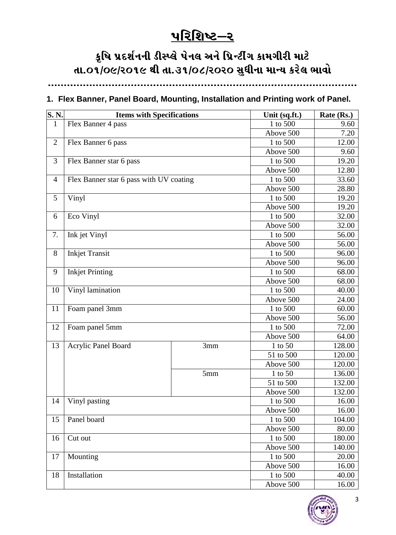# $\underline{V}$ રિશિષ્ટ $-\underline{S}$

# કૃષિ પ્રદર્શનની ડીસ્પ્લે પેનલ અને પ્રિન્ટીંગ કામગીરી માટે તા.o1/o૯/૨૦૧૯ થી તા.૩૧/o૮/૨૦૨૦ સુધીના માન્ય કરેલ ભાવો

**PPPPPPPPPPPPPPPPPPPPPPPPPPPPPPPPPPPPPPPPPPPPPPPPPPPPPPPPPPPPPPPPPPPPPPPPPPPPPPPPPPPPPPPPPPPPPPPPP**

#### **1. Flex Banner, Panel Board, Mounting, Installation and Printing work of Panel.**

| S. N.          | <b>Items with Specifications</b>        | Unit (sq.ft.) | Rate (Rs.) |        |
|----------------|-----------------------------------------|---------------|------------|--------|
| $\mathbf{1}$   | Flex Banner 4 pass                      | 1 to 500      | 9.60       |        |
|                |                                         |               | Above 500  | 7.20   |
| $\overline{2}$ | Flex Banner 6 pass                      | 1 to 500      | 12.00      |        |
|                |                                         | Above 500     | 9.60       |        |
| 3              | Flex Banner star 6 pass                 | 1 to 500      | 19.20      |        |
|                |                                         |               | Above 500  | 12.80  |
| $\overline{4}$ | Flex Banner star 6 pass with UV coating |               | 1 to 500   | 33.60  |
|                |                                         | Above 500     | 28.80      |        |
| 5              | Vinyl                                   | 1 to 500      | 19.20      |        |
|                |                                         | Above 500     | 19.20      |        |
| 6              | Eco Vinyl                               | 1 to 500      | 32.00      |        |
|                |                                         | Above 500     | 32.00      |        |
| 7.             | Ink jet Vinyl                           | 1 to 500      | 56.00      |        |
|                |                                         |               | Above 500  | 56.00  |
| 8              | <b>Inkjet Transit</b>                   |               | 1 to 500   | 96.00  |
|                |                                         |               | Above 500  | 96.00  |
| 9              | <b>Inkjet Printing</b>                  |               | 1 to 500   | 68.00  |
|                |                                         |               | Above 500  | 68.00  |
| 10             | Vinyl lamination                        |               | 1 to 500   | 40.00  |
|                |                                         | Above 500     | 24.00      |        |
| 11             | Foam panel 3mm                          | 1 to 500      | 60.00      |        |
|                |                                         | Above 500     | 56.00      |        |
| 12             | Foam panel 5mm                          | 1 to 500      | 72.00      |        |
|                |                                         | Above 500     | 64.00      |        |
| 13             | Acrylic Panel Board                     | 3mm           | 1 to 50    | 128.00 |
|                |                                         |               | 51 to 500  | 120.00 |
|                |                                         |               | Above 500  | 120.00 |
|                |                                         | 5mm           | 1 to 50    | 136.00 |
|                |                                         |               | 51 to 500  | 132.00 |
|                |                                         |               | Above 500  | 132.00 |
| 14             | Vinyl pasting                           |               | 1 to 500   | 16.00  |
|                |                                         |               | Above 500  | 16.00  |
| 15             | Panel board                             | 1 to 500      | 104.00     |        |
|                |                                         |               | Above 500  | 80.00  |
| 16             | Cut out                                 |               | 1 to 500   | 180.00 |
|                |                                         |               | Above 500  | 140.00 |
| 17             | Mounting                                |               | 1 to 500   | 20.00  |
|                |                                         |               | Above 500  | 16.00  |
| 18             | Installation                            | 1 to 500      | 40.00      |        |
|                |                                         | Above 500     | 16.00      |        |

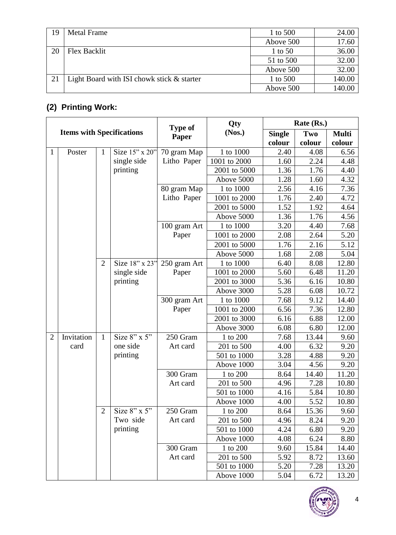| 19 | Metal Frame                                | 1 to 500  | 24.00  |
|----|--------------------------------------------|-----------|--------|
|    |                                            | Above 500 | 17.60  |
| 20 | Flex Backlit                               | 1 to 50   | 36.00  |
|    |                                            | 51 to 500 | 32.00  |
|    |                                            | Above 500 | 32.00  |
|    | Light Board with ISI chowk stick & starter | 1 to 500  | 140.00 |
|    |                                            | Above 500 | 140.00 |

### **(2) Printing Work:**

| <b>Items with Specifications</b> |            |                |                | <b>Type of</b> | Qty          | Rate (Rs.)    |        |              |
|----------------------------------|------------|----------------|----------------|----------------|--------------|---------------|--------|--------------|
|                                  |            |                |                | Paper          | (Nos.)       | <b>Single</b> | Two    | <b>Multi</b> |
|                                  |            |                |                |                |              | colour        | colour | colour       |
| $\mathbf{1}$                     | Poster     | $\mathbf{1}$   | Size 15" x 20" | 70 gram Map    | 1 to 1000    | 2.40          | 4.08   | 6.56         |
|                                  |            |                | single side    | Litho Paper    | 1001 to 2000 | 1.60          | 2.24   | 4.48         |
|                                  |            |                | printing       |                | 2001 to 5000 | 1.36          | 1.76   | 4.40         |
|                                  |            |                |                |                | Above 5000   | 1.28          | 1.60   | 4.32         |
|                                  |            |                |                | 80 gram Map    | 1 to 1000    | 2.56          | 4.16   | 7.36         |
|                                  |            |                |                | Litho Paper    | 1001 to 2000 | 1.76          | 2.40   | 4.72         |
|                                  |            |                |                |                | 2001 to 5000 | 1.52          | 1.92   | 4.64         |
|                                  |            |                |                |                | Above 5000   | 1.36          | 1.76   | 4.56         |
|                                  |            |                |                | 100 gram Art   | 1 to 1000    | 3.20          | 4.40   | 7.68         |
|                                  |            |                |                | Paper          | 1001 to 2000 | 2.08          | 2.64   | 5.20         |
|                                  |            |                |                |                | 2001 to 5000 | 1.76          | 2.16   | 5.12         |
|                                  |            |                |                |                | Above 5000   | 1.68          | 2.08   | 5.04         |
|                                  |            | $\overline{2}$ | Size 18" x 23" | 250 gram Art   | 1 to 1000    | 6.40          | 8.08   | 12.80        |
|                                  |            |                | single side    | Paper          | 1001 to 2000 | 5.60          | 6.48   | 11.20        |
|                                  |            |                | printing       |                | 2001 to 3000 | 5.36          | 6.16   | 10.80        |
|                                  |            |                |                |                | Above 3000   | 5.28          | 6.08   | 10.72        |
|                                  |            |                |                | 300 gram Art   | 1 to 1000    | 7.68          | 9.12   | 14.40        |
|                                  |            |                |                | Paper          | 1001 to 2000 | 6.56          | 7.36   | 12.80        |
|                                  |            |                |                |                | 2001 to 3000 | 6.16          | 6.88   | 12.00        |
|                                  |            |                |                |                | Above 3000   | 6.08          | 6.80   | 12.00        |
| $\overline{2}$                   | Invitation | $\mathbf{1}$   | Size $8"$ x 5" | 250 Gram       | 1 to 200     | 7.68          | 13.44  | 9.60         |
|                                  | card       |                | one side       | Art card       | 201 to 500   | 4.00          | 6.32   | 9.20         |
|                                  |            |                | printing       |                | 501 to 1000  | 3.28          | 4.88   | 9.20         |
|                                  |            |                |                |                | Above 1000   | 3.04          | 4.56   | 9.20         |
|                                  |            |                |                | 300 Gram       | 1 to 200     | 8.64          | 14.40  | 11.20        |
|                                  |            |                |                | Art card       | 201 to 500   | 4.96          | 7.28   | 10.80        |
|                                  |            |                |                |                | 501 to 1000  | 4.16          | 5.84   | 10.80        |
|                                  |            |                |                |                | Above 1000   | 4.00          | 5.52   | 10.80        |
|                                  |            | $\overline{2}$ | Size 8" x 5"   | 250 Gram       | 1 to 200     | 8.64          | 15.36  | 9.60         |
|                                  |            |                | Two side       | Art card       | 201 to 500   | 4.96          | 8.24   | 9.20         |
|                                  |            |                | printing       |                | 501 to 1000  | 4.24          | 6.80   | 9.20         |
|                                  |            |                |                |                | Above 1000   | 4.08          | 6.24   | 8.80         |
|                                  |            |                |                | 300 Gram       | 1 to 200     | 9.60          | 15.84  | 14.40        |
|                                  |            |                |                | Art card       | 201 to 500   | 5.92          | 8.72   | 13.60        |
|                                  |            |                |                |                | 501 to 1000  | 5.20          | 7.28   | 13.20        |
|                                  |            |                |                |                | Above 1000   | 5.04          | 6.72   | 13.20        |

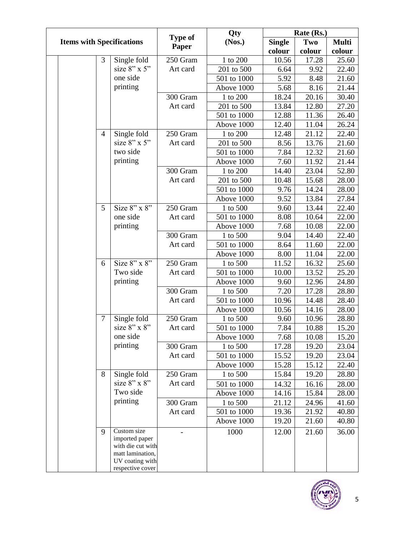|                                  |  |                         |                                     | Qty           | Rate (Rs.)  |              |       |       |
|----------------------------------|--|-------------------------|-------------------------------------|---------------|-------------|--------------|-------|-------|
| <b>Items with Specifications</b> |  | <b>Type of</b><br>Paper | (Nos.)                              | <b>Single</b> | Two         | <b>Multi</b> |       |       |
|                                  |  |                         |                                     | colour        | colour      | colour       |       |       |
|                                  |  | 3                       | Single fold                         | 250 Gram      | 1 to 200    | 10.56        | 17.28 | 25.60 |
|                                  |  |                         | size $8$ " x 5"                     | Art card      | 201 to 500  | 6.64         | 9.92  | 22.40 |
|                                  |  |                         | one side                            |               | 501 to 1000 | 5.92         | 8.48  | 21.60 |
|                                  |  |                         | printing                            |               | Above 1000  | 5.68         | 8.16  | 21.44 |
|                                  |  |                         |                                     | 300 Gram      | 1 to 200    | 18.24        | 20.16 | 30.40 |
|                                  |  |                         |                                     | Art card      | 201 to 500  | 13.84        | 12.80 | 27.20 |
|                                  |  |                         |                                     |               | 501 to 1000 | 12.88        | 11.36 | 26.40 |
|                                  |  |                         |                                     |               | Above 1000  | 12.40        | 11.04 | 26.24 |
|                                  |  | $\overline{4}$          | Single fold                         | 250 Gram      | 1 to 200    | 12.48        | 21.12 | 22.40 |
|                                  |  |                         | size $8"$ x 5"                      | Art card      | 201 to 500  | 8.56         | 13.76 | 21.60 |
|                                  |  |                         | two side                            |               | 501 to 1000 | 7.84         | 12.32 | 21.60 |
|                                  |  |                         | printing                            |               | Above 1000  | 7.60         | 11.92 | 21.44 |
|                                  |  |                         |                                     | 300 Gram      | 1 to 200    | 14.40        | 23.04 | 52.80 |
|                                  |  |                         |                                     | Art card      | 201 to 500  | 10.48        | 15.68 | 28.00 |
|                                  |  |                         |                                     |               | 501 to 1000 | 9.76         | 14.24 | 28.00 |
|                                  |  |                         |                                     |               | Above 1000  | 9.52         | 13.84 | 27.84 |
|                                  |  | 5                       | Size $8"$ x $8"$                    | 250 Gram      | 1 to 500    | 9.60         | 13.44 | 22.40 |
|                                  |  |                         | one side                            | Art card      | 501 to 1000 | 8.08         | 10.64 | 22.00 |
|                                  |  |                         | printing                            |               | Above 1000  | 7.68         | 10.08 | 22.00 |
|                                  |  |                         |                                     | 300 Gram      | 1 to 500    | 9.04         | 14.40 | 22.40 |
|                                  |  |                         |                                     | Art card      | 501 to 1000 | 8.64         | 11.60 | 22.00 |
|                                  |  |                         |                                     |               | Above 1000  | 8.00         | 11.04 | 22.00 |
|                                  |  | 6                       | Size $8"$ x $8"$                    | 250 Gram      | 1 to 500    | 11.52        | 16.32 | 25.60 |
|                                  |  |                         | Two side                            | Art card      | 501 to 1000 | 10.00        | 13.52 | 25.20 |
|                                  |  |                         | printing                            |               | Above 1000  | 9.60         | 12.96 | 24.80 |
|                                  |  |                         |                                     | 300 Gram      | 1 to 500    | 7.20         | 17.28 | 28.80 |
|                                  |  |                         |                                     | Art card      | 501 to 1000 | 10.96        | 14.48 | 28.40 |
|                                  |  |                         |                                     |               | Above 1000  | 10.56        | 14.16 | 28.00 |
|                                  |  | 7                       | Single fold                         | 250 Gram      | 1 to 500    | 9.60         | 10.96 | 28.80 |
|                                  |  |                         | size 8" x 8"                        | Art card      | 501 to 1000 | 7.84         | 10.88 | 15.20 |
|                                  |  |                         | one side                            |               | Above 1000  | 7.68         | 10.08 | 15.20 |
|                                  |  |                         | printing                            | 300 Gram      | 1 to 500    | 17.28        | 19.20 | 23.04 |
|                                  |  |                         |                                     | Art card      | 501 to 1000 | 15.52        | 19.20 | 23.04 |
|                                  |  |                         |                                     |               | Above 1000  | 15.28        | 15.12 | 22.40 |
|                                  |  | 8                       | Single fold                         | 250 Gram      | 1 to 500    | 15.84        | 19.20 | 28.80 |
|                                  |  |                         | size 8" x 8"                        | Art card      | 501 to 1000 | 14.32        | 16.16 | 28.00 |
|                                  |  |                         | Two side                            |               | Above 1000  | 14.16        | 15.84 | 28.00 |
|                                  |  |                         | printing                            | 300 Gram      | 1 to 500    | 21.12        | 24.96 | 41.60 |
|                                  |  |                         |                                     | Art card      | 501 to 1000 | 19.36        | 21.92 | 40.80 |
|                                  |  |                         |                                     |               | Above 1000  | 19.20        | 21.60 | 40.80 |
|                                  |  | 9                       | Custom size                         |               | 1000        | 12.00        | 21.60 | 36.00 |
|                                  |  |                         | imported paper                      |               |             |              |       |       |
|                                  |  |                         | with die cut with                   |               |             |              |       |       |
|                                  |  |                         | matt lamination,<br>UV coating with |               |             |              |       |       |
|                                  |  |                         | respective cover                    |               |             |              |       |       |